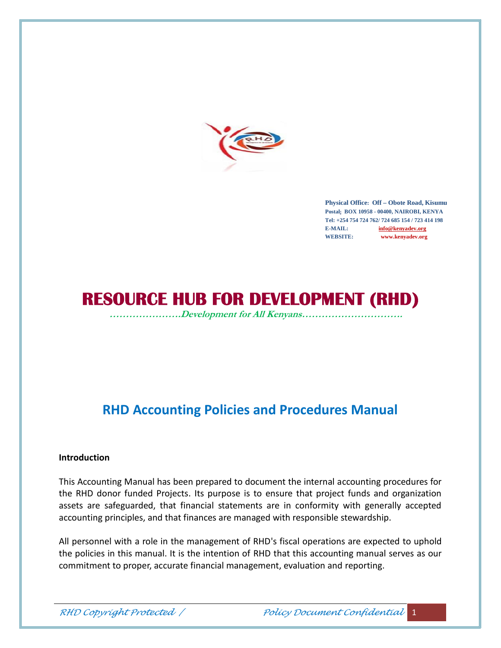

**Physical Office: Off – Obote Road, Kisumu Postal: BOX 10958 - 00400, NAIROBI, KENYA Tel: +254 754 724 762/ 724 685 154 / 723 414 198 E-MAIL: info@kenyadev.org WEBSITE: www.kenyadev.org**

# **RESOURCE HUB FOR DEVELOPMENT (RHD)**

*………………….Development for All Kenyans………………………….*

## **RHD Accounting Policies and Procedures Manual**

#### **Introduction**

This Accounting Manual has been prepared to document the internal accounting procedures for the RHD donor funded Projects. Its purpose is to ensure that project funds and organization assets are safeguarded, that financial statements are in conformity with generally accepted accounting principles, and that finances are managed with responsible stewardship.

All personnel with a role in the management of RHD's fiscal operations are expected to uphold the policies in this manual. It is the intention of RHD that this accounting manual serves as our commitment to proper, accurate financial management, evaluation and reporting.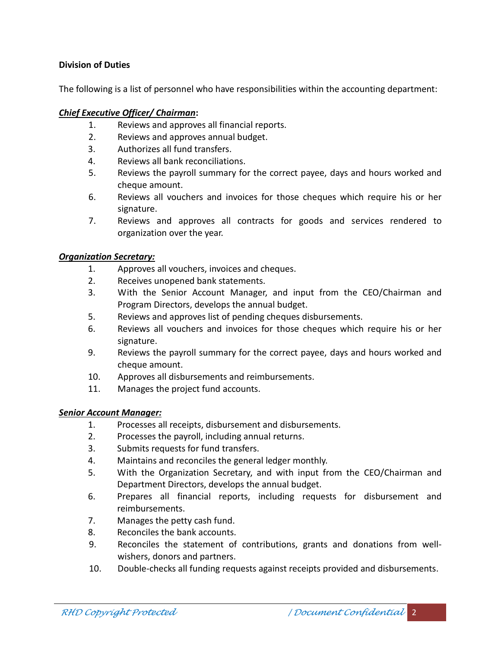#### **Division of Duties**

The following is a list of personnel who have responsibilities within the accounting department:

#### *Chief Executive Officer/ Chairman***:**

- 1. Reviews and approves all financial reports.
- 2. Reviews and approves annual budget.
- 3. Authorizes all fund transfers.
- 4. Reviews all bank reconciliations.
- 5. Reviews the payroll summary for the correct payee, days and hours worked and cheque amount.
- 6. Reviews all vouchers and invoices for those cheques which require his or her signature.
- 7. Reviews and approves all contracts for goods and services rendered to organization over the year.

#### *Organization Secretary:*

- 1. Approves all vouchers, invoices and cheques.
- 2. Receives unopened bank statements.
- 3. With the Senior Account Manager, and input from the CEO/Chairman and Program Directors, develops the annual budget.
- 5. Reviews and approves list of pending cheques disbursements.
- 6. Reviews all vouchers and invoices for those cheques which require his or her signature.
- 9. Reviews the payroll summary for the correct payee, days and hours worked and cheque amount.
- 10. Approves all disbursements and reimbursements.
- 11. Manages the project fund accounts.

#### *Senior Account Manager:*

- 1. Processes all receipts, disbursement and disbursements.
- 2. Processes the payroll, including annual returns.
- 3. Submits requests for fund transfers.
- 4. Maintains and reconciles the general ledger monthly.
- 5. With the Organization Secretary, and with input from the CEO/Chairman and Department Directors, develops the annual budget.
- 6. Prepares all financial reports, including requests for disbursement and reimbursements.
- 7. Manages the petty cash fund.
- 8. Reconciles the bank accounts.
- 9. Reconciles the statement of contributions, grants and donations from well wishers, donors and partners.
- 10. Double-checks all funding requests against receipts provided and disbursements.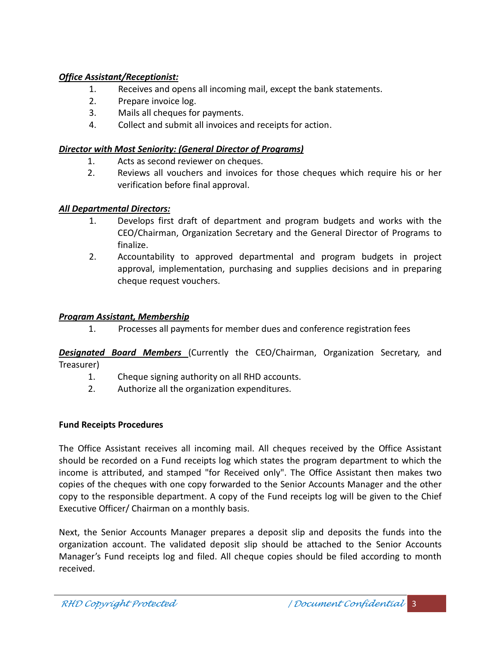## *Office Assistant/Receptionist:*

- 1. Receives and opens all incoming mail, except the bank statements.
- 2. Prepare invoice log.
- 3. Mails all cheques for payments.
- 4. Collect and submit all invoices and receipts for action.

## *Director with Most Seniority: (General Director of Programs)*

- 1. Acts as second reviewer on cheques.
- 2. Reviews all vouchers and invoices for those cheques which require his or her verification before final approval.

## *All Departmental Directors:*

- 1. Develops first draft of department and program budgets and works with the CEO/Chairman, Organization Secretary and the General Director of Programs to finalize.
- 2. Accountability to approved departmental and program budgets in project approval, implementation, purchasing and supplies decisions and in preparing cheque request vouchers.

## *Program Assistant, Membership*

1. Processes allpayments for member dues and conference registration fees

*Designated Board Members* (Currently the CEO/Chairman, Organization Secretary, and Treasurer)

- 1. Cheque signing authority on all RHD accounts.
- 2. Authorize all the organization expenditures.

## **Fund Receipts Procedures**

The Office Assistant receives all incoming mail. All cheques received by the Office Assistant should be recorded on a Fund receipts log which states the program department to which the income is attributed, and stamped "for Received only". The Office Assistant then makes two copies of the cheques with one copy forwarded to the Senior Accounts Manager and the other copy to the responsible department. A copy of the Fund receipts log will be given to the Chief Executive Officer/ Chairman on a monthly basis.

Next, the Senior Accounts Manager prepares a deposit slip and deposits the funds into the organization account. The validated deposit slip should be attached to the Senior Accounts Manager's Fund receipts log and filed. All cheque copies should be filed according to month received.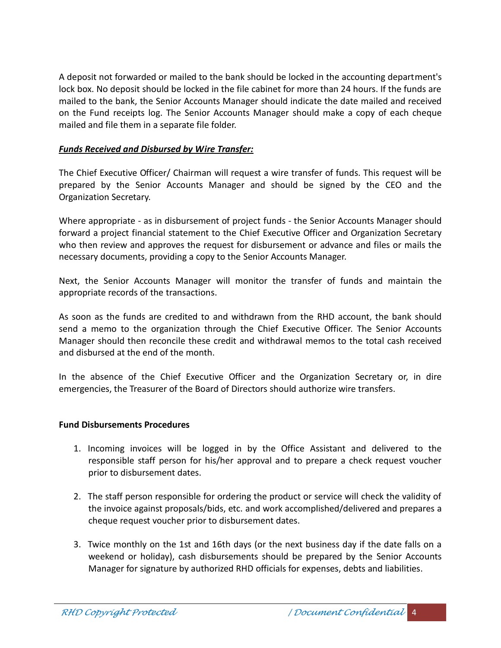A deposit not forwarded or mailed to the bank should be locked in the accounting department's lock box. No deposit should be locked in the file cabinet for more than 24 hours. If the funds are mailed to the bank, the Senior Accounts Manager should indicate the date mailed and received on the Fund receipts log. The Senior Accounts Manager should make a copy of each cheque mailed and file them in a separate file folder.

#### *Funds Received and Disbursed by Wire Transfer:*

The Chief Executive Officer/ Chairman will request a wire transfer of funds. This request will be prepared by the Senior Accounts Manager and should be signed by the CEO and the Organization Secretary.

Where appropriate - as in disbursement of project funds - the Senior Accounts Manager should forward a project financial statement to the Chief Executive Officer and Organization Secretary who then review and approves the request for disbursement or advance and files or mails the necessary documents, providing a copy to the Senior Accounts Manager.

Next, the Senior Accounts Manager will monitor the transfer of funds and maintain the appropriate records of the transactions.

As soon as the funds are credited to and withdrawn from the RHD account, the bank should send a memo to the organization through the Chief Executive Officer. The Senior Accounts Manager should then reconcile these credit and withdrawal memos to the total cash received and disbursed at the end of the month.

In the absence of the Chief Executive Officer and the Organization Secretary or, in dire emergencies, the Treasurer of the Board of Directors should authorize wire transfers.

#### **Fund Disbursements Procedures**

- 1. Incoming invoices will be logged in by the Office Assistant and delivered to the responsible staff person for his/her approval and to prepare a check request voucher prior to disbursement dates.
- 2. The staff person responsible for ordering the product or service will check the validity of the invoice against proposals/bids, etc. and work accomplished/delivered and prepares a cheque request voucher prior to disbursement dates.
- 3. Twice monthly on the 1st and 16th days (or the next business day if the date falls on a weekend or holiday), cash disbursements should be prepared by the Senior Accounts Manager for signature by authorized RHD officials for expenses, debts and liabilities.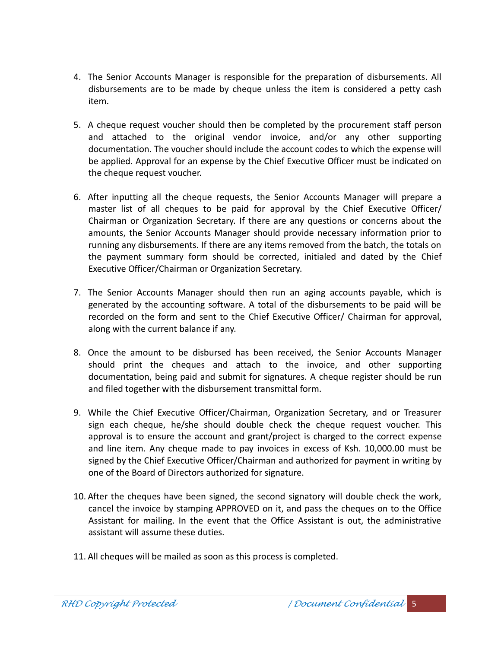- 4. The Senior Accounts Manager is responsible for the preparation of disbursements. All disbursements are to be made by cheque unless the item is considered a petty cash item.
- 5. A cheque request voucher should then be completed by the procurement staff person and attached to the original vendor invoice, and/or any other supporting documentation. The voucher should include the account codes to which the expense will be applied. Approval for an expense by the Chief Executive Officer must be indicated on the cheque request voucher.
- 6. After inputting all the cheque requests, the Senior Accounts Manager will prepare a master list of all cheques to be paid for approval by the Chief Executive Officer/ Chairman or Organization Secretary. If there are any questions or concerns about the amounts, the Senior Accounts Manager should provide necessary information prior to running any disbursements. If there are any items removed from the batch, the totals on the payment summary form should be corrected, initialed and dated by the Chief Executive Officer/Chairman or Organization Secretary.
- 7. The Senior Accounts Manager should then run an aging accounts payable, which is generated by the accounting software. A total of the disbursements to be paid will be recorded on the form and sent to the Chief Executive Officer/ Chairman for approval, along with the current balance if any.
- 8. Once the amount to be disbursed has been received, the Senior Accounts Manager should print the cheques and attach to the invoice, and other supporting documentation, being paid and submit for signatures. A cheque register should be run and filed together with the disbursement transmittal form.
- 9. While the Chief Executive Officer/Chairman, Organization Secretary, and or Treasurer sign each cheque, he/she should double check the cheque request voucher. This approval is to ensure the account and grant/project is charged to the correct expense and line item. Any cheque made to pay invoices in excess of Ksh. 10,000.00 must be signed by the Chief Executive Officer/Chairman and authorized for payment in writing by one of the Board of Directors authorized for signature.
- 10. After the cheques have been signed, the second signatory will double check the work, cancel the invoice by stamping APPROVED on it, and pass the cheques on to the Office Assistant for mailing. In the event that the Office Assistant is out, the administrative assistant will assume these duties.
- 11. All cheques will be mailed as soon as this process is completed.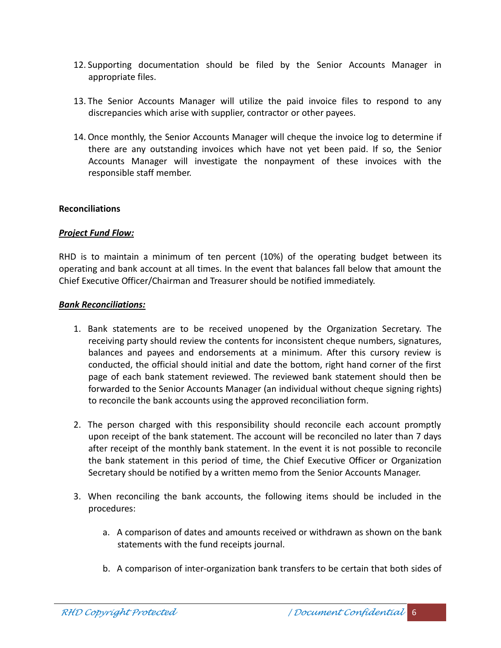- 12. Supporting documentation should be filed by the Senior Accounts Manager in appropriate files.
- 13. The Senior Accounts Manager will utilize the paid invoice files to respond to any discrepancies which arise with supplier, contractor or other payees.
- 14. Once monthly, the Senior Accounts Manager will cheque the invoice log to determine if there are any outstanding invoices which have not yet been paid. If so, the Senior Accounts Manager will investigate the nonpayment of these invoices with the responsible staff member.

#### **Reconciliations**

#### *Project Fund Flow:*

RHD is to maintain a minimum of ten percent (10%) of the operating budget between its operating and bank account at all times. In the event that balances fall below that amount the Chief Executive Officer/Chairman and Treasurer should be notified immediately.

#### *Bank Reconciliations:*

- 1. Bank statements are to be received unopened by the Organization Secretary. The receiving party should review the contents for inconsistent cheque numbers, signatures, balances and payees and endorsements at a minimum. After this cursory review is conducted, the official should initial and date the bottom, right hand corner of the first page of each bank statement reviewed. The reviewed bank statement should then be forwarded to the Senior Accounts Manager (an individual without cheque signing rights) to reconcile the bank accounts using the approved reconciliation form.
- 2. The person charged with this responsibility should reconcile each account promptly upon receipt of the bank statement. The account will be reconciled no later than 7 days after receipt of the monthly bank statement. In the event it is not possible to reconcile the bank statement in this period of time, the Chief Executive Officer or Organization Secretary should be notified by a written memo from the Senior Accounts Manager.
- 3. When reconciling the bank accounts, the following items should be included in the procedures:
	- a. A comparison of dates and amounts received or withdrawn as shown on the bank statements with the fund receipts journal.
	- b. A comparison of inter-organization bank transfers to be certain that both sides of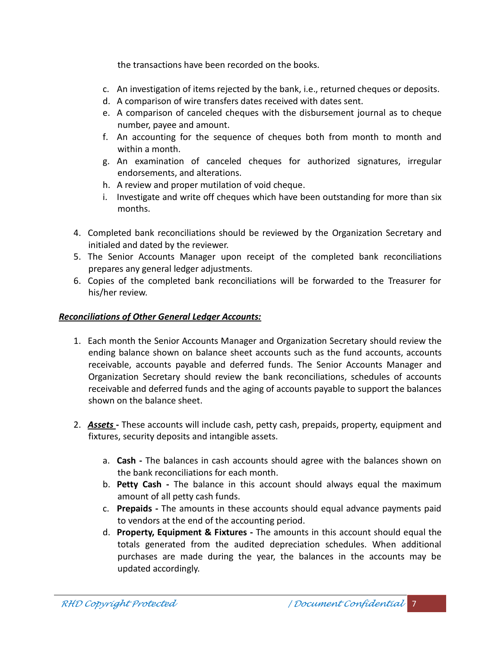the transactions have been recorded on the books.

- c. An investigation of items rejected by the bank, i.e., returned cheques or deposits.
- d. A comparison of wire transfers dates received with dates sent.
- e. A comparison of canceled cheques with the disbursement journal as to cheque number, payee and amount.
- f. An accounting for the sequence of cheques both from month to month and within a month.
- g. An examination of canceled cheques for authorized signatures, irregular endorsements, and alterations.
- h. A review and proper mutilation of void cheque.
- i. Investigate and write off cheques which have been outstanding for more than six months.
- 4. Completed bank reconciliations should be reviewed by the Organization Secretary and initialed and dated by the reviewer.
- 5. The Senior Accounts Manager upon receipt of the completed bank reconciliations prepares any general ledger adjustments.
- 6. Copies of the completed bank reconciliations will be forwarded to the Treasurer for his/her review.

#### *Reconciliations of Other General Ledger Accounts:*

- 1. Each month the Senior Accounts Manager and Organization Secretary should review the ending balance shown on balance sheet accounts such as the fund accounts, accounts receivable, accounts payable and deferred funds. The Senior Accounts Manager and Organization Secretary should review the bank reconciliations, schedules of accounts receivable and deferred funds and the aging of accounts payable to support the balances shown on the balance sheet.
- 2. *Assets* **-** These accounts will include cash, petty cash, prepaids, property, equipment and fixtures, security deposits and intangible assets.
	- a. **Cash -** The balances in cash accounts should agree with the balances shown on the bank reconciliations for each month.
	- b. **Petty Cash -** The balance in this account should always equal the maximum amount of all petty cash funds.
	- c. **Prepaids -** The amounts in these accounts should equal advance payments paid to vendors at the end of the accounting period.
	- d. **Property, Equipment & Fixtures -** The amounts in this account should equal the totals generated from the audited depreciation schedules. When additional purchases are made during the year, the balances in the accounts may be updated accordingly.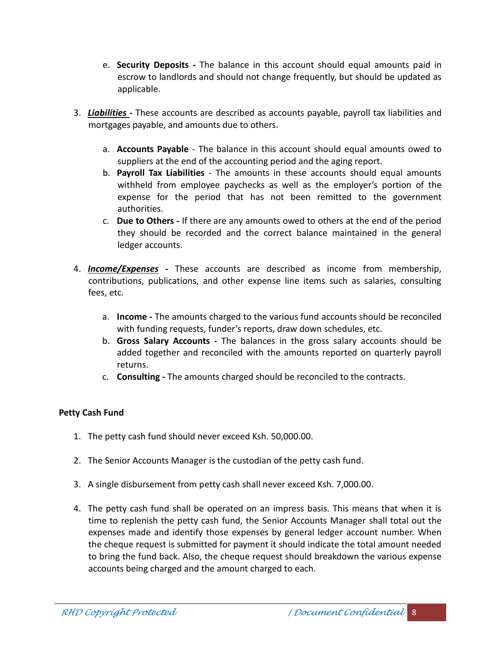- e. **Security Deposits -**The balance in this account should equal amounts paid in escrow to landlords and should not change frequently, but should be updated as applicable.
- 3. *Liabilities* **-**These accounts are described as accounts payable, payroll tax liabilities and mortgages payable, and amounts due to others.
	- a. **Accounts Payable** The balance in this account should equal amounts owed to suppliers at the end of the accounting period and the aging report.
	- b. **Payroll Tax Liabilities** The amounts in these accounts should equal amounts withheld from employee paychecks as well as the employer's portion of the expense for the period that has not been remitted to the government authorities.
	- c. **Due to Others -** If there are any amounts owed to others at the end of the period they should be recorded and the correct balance maintained in the general ledger accounts.
- 4. *Income/Expenses* **-** These accounts are described as income from membership, contributions, publications, and other expense line items such as salaries, consulting fees, etc.
	- a. **Income -** The amounts charged to the various fund accounts should be reconciled with funding requests, funder's reports, draw down schedules, etc.
	- b. **Gross Salary Accounts -** The balances in the gross salary accounts should be added together and reconciled with the amounts reported on quarterly payroll returns.
	- c. **Consulting -** The amounts charged should be reconciled to the contracts.

#### **Petty Cash Fund**

- 1. The petty cash fund should never exceed Ksh. 50,000.00.
- 2. The Senior Accounts Manager is the custodian of the petty cash fund.
- 3. A single disbursement from petty cash shall never exceed Ksh. 7,000.00.
- 4. The petty cash fund shall be operated on an impress basis. This means that when it is time to replenish the petty cash fund, the Senior Accounts Manager shall total out the expenses made and identify those expenses by general ledger account number. When the cheque request is submitted for payment it should indicate the total amount needed to bring the fund back. Also, the cheque request should breakdown the various expense accounts being charged and the amount charged to each.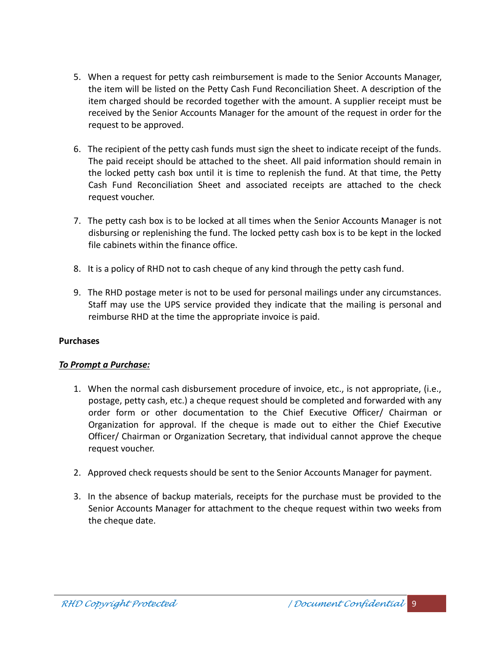- 5. When a request for petty cash reimbursement is made to the Senior Accounts Manager, the item will be listed on the Petty Cash Fund Reconciliation Sheet. A description of the item charged should be recorded together with the amount. A supplier receipt must be received by the Senior Accounts Manager for the amount of the request in order for the request to be approved.
- 6. The recipient of the petty cash funds must sign the sheet to indicate receipt of the funds. The paid receipt should be attached to the sheet. All paid information should remain in the locked petty cash box until it is time to replenish the fund. At that time, the Petty Cash Fund Reconciliation Sheet and associated receipts are attached to the check request voucher.
- 7. The petty cash box is to be locked at all times when the Senior Accounts Manager is not disbursing or replenishing the fund. The locked petty cash box is to be kept in the locked file cabinets within the finance office.
- 8. It is a policy of RHD not to cash cheque of any kind through the petty cash fund.
- 9. The RHD postage meter is not to be used for personal mailings under any circumstances. Staff may use the UPS service provided they indicate that the mailing is personal and reimburse RHD at the time the appropriate invoice is paid.

#### **Purchases**

#### *To Prompt a Purchase:*

- 1. When the normal cash disbursement procedure of invoice, etc., is not appropriate, (i.e., postage, petty cash, etc.) a cheque request should be completed and forwarded with any order form or other documentation to the Chief Executive Officer/ Chairman or Organization for approval. If the cheque is made out to either the Chief Executive Officer/ Chairman or Organization Secretary, that individual cannot approve the cheque request voucher.
- 2. Approved check requests should be sent to the Senior Accounts Manager for payment.
- 3. In the absence of backup materials, receipts for the purchase must be provided to the Senior Accounts Manager for attachment to the cheque request within two weeks from the cheque date.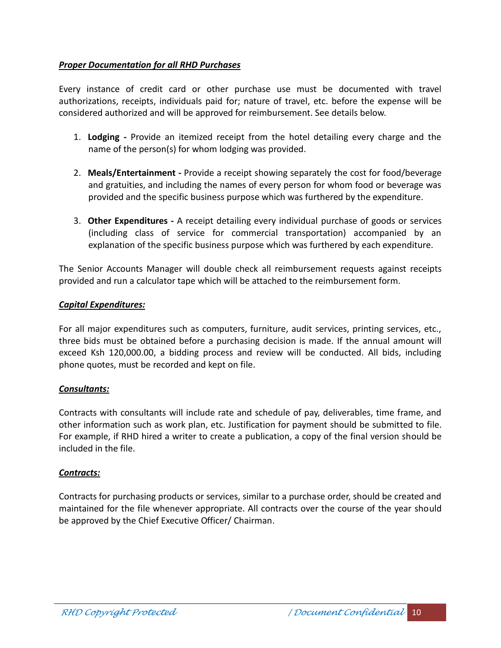#### *Proper Documentation for all RHD Purchases*

Every instance of credit card or other purchase use must be documented with travel authorizations, receipts, individuals paid for; nature of travel, etc. before the expense will be considered authorized and will be approved for reimbursement. See details below.

- 1. **Lodging -** Provide an itemized receipt from the hotel detailing every charge and the name of the person(s) for whom lodging was provided.
- 2. **Meals/Entertainment -** Provide a receipt showing separately the cost for food/beverage and gratuities, and including the names of every person for whom food or beverage was provided and the specific business purpose which was furthered by the expenditure.
- 3. **Other Expenditures -**A receipt detailing every individual purchase of goods or services (including class of service for commercial transportation) accompanied by an explanation of the specific business purpose which was furthered by each expenditure.

The Senior Accounts Manager will double check all reimbursement requests against receipts provided and run a calculator tape which will be attached to the reimbursement form.

#### *Capital Expenditures:*

For all major expenditures such as computers, furniture, audit services, printing services, etc., three bids must be obtained before a purchasing decision is made. If the annual amount will exceed Ksh 120,000.00, a bidding process and review will be conducted. All bids, including phone quotes, must be recorded and kept on file.

#### *Consultants:*

Contracts with consultants will include rate and schedule of pay, deliverables, time frame, and other information such as work plan, etc. Justification for payment should be submitted to file. For example, if RHD hired a writer to create a publication, a copy of the final version should be included in the file.

#### *Contracts:*

Contracts for purchasing products or services, similar to a purchase order, should be created and maintained for the file whenever appropriate. All contracts over the course of the year should be approved by the Chief Executive Officer/ Chairman.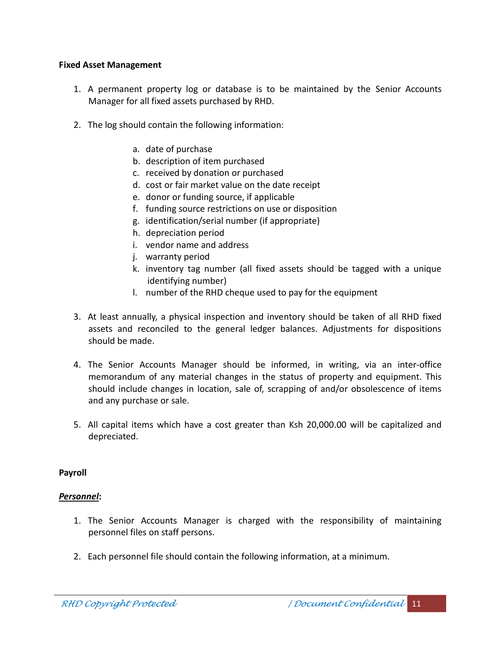#### **Fixed Asset Management**

- 1. A permanent property log or database is to be maintained by the Senior Accounts Manager for all fixed assets purchased by RHD.
- 2. The log should contain the following information:
	- a. date of purchase
	- b. description of item purchased
	- c. received by donation or purchased
	- d. cost or fair market value on the date receipt
	- e. donor or funding source, if applicable
	- f. funding source restrictions on use or disposition
	- g. identification/serial number (if appropriate)
	- h. depreciation period
	- i. vendor name and address
	- j. warranty period
	- k. inventory tag number (all fixed assets should be tagged with a unique identifying number)
	- l. number of the RHD cheque used to pay for the equipment
- 3. At least annually, a physical inspection and inventory should be taken of all RHD fixed assets and reconciled to the general ledger balances. Adjustments for dispositions should be made.
- 4. The Senior Accounts Manager should be informed, in writing, via an inter-office memorandum of any material changes in the status of property and equipment. This should include changes in location, sale of, scrapping of and/or obsolescence of items and any purchase or sale.
- 5. All capital items which have a cost greater than Ksh 20,000.00 will be capitalized and depreciated.

#### **Payroll**

#### *Personnel***:**

- 1. The Senior Accounts Manager is charged with the responsibility of maintaining personnel files on staff persons.
- 2. Each personnel file should contain the following information, at a minimum.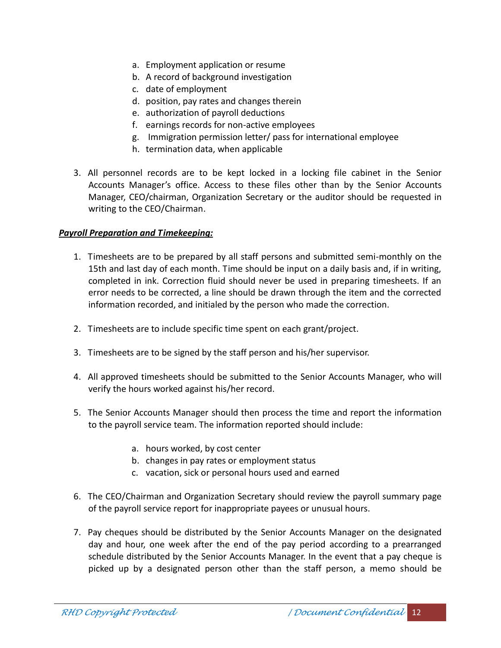- a. Employment application or resume
- b. A record of background investigation
- c. date of employment
- d. position, pay rates and changes therein
- e. authorization of payroll deductions
- f. earnings records for non-active employees
- g. Immigration permission letter/ pass for international employee
- h. termination data, when applicable
- 3. All personnel records are to be kept locked in a locking file cabinet in the Senior Accounts Manager's office. Access to these files other than by the Senior Accounts Manager, CEO/chairman, Organization Secretary or the auditor should be requested in writing to the CEO/Chairman.

#### *Payroll Preparation and Timekeeping:*

- 1. Timesheets are to be prepared by all staff persons and submitted semi-monthly on the 15th and last day of each month. Time should be input on a daily basis and, if in writing, completed in ink. Correction fluid should never be used in preparing timesheets. If an error needs to be corrected, a line should be drawn through the item and the corrected information recorded, and initialed by the person who made the correction.
- 2. Timesheets are to include specific time spent on each grant/project.
- 3. Timesheets are to be signed by the staff person and his/her supervisor.
- 4. All approved timesheets should be submitted to the Senior Accounts Manager, who will verify the hours worked against his/her record.
- 5. The Senior Accounts Manager should then process the time and report the information to the payroll service team. The information reported should include:
	- a. hours worked, by cost center
	- b. changes in pay rates or employment status
	- c. vacation, sick or personal hours used and earned
- 6. The CEO/Chairman and Organization Secretary should review the payroll summary page of the payroll service report for inappropriate payees or unusual hours.
- 7. Pay cheques should be distributed by the Senior Accounts Manager on the designated day and hour, one week after the end of the pay period according to a prearranged schedule distributed by the Senior Accounts Manager. In the event that a pay cheque is picked up by a designated person other than the staff person, a memo should be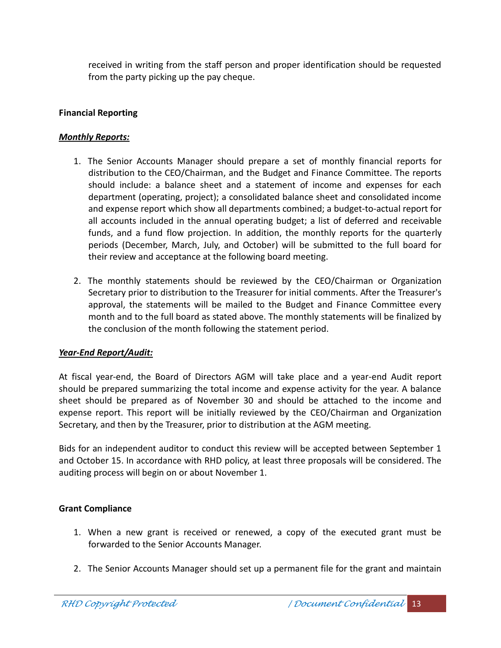received in writing from the staff person and proper identification should be requested from the party picking up the pay cheque.

## **Financial Reporting**

#### *Monthly Reports:*

- 1. The Senior Accounts Manager should prepare a set of monthly financial reports for distribution to the CEO/Chairman, and the Budget and Finance Committee. The reports should include: a balance sheet and a statement of income and expenses for each department (operating, project); a consolidated balance sheet and consolidated income and expense report which show all departments combined; a budget-to-actual report for all accounts included in the annual operating budget; a list of deferred and receivable funds, and a fund flow projection. In addition, the monthly reports for the quarterly periods (December, March, July, and October) will be submitted to the full board for their review and acceptance at the following board meeting.
- 2. The monthly statements should be reviewed by the CEO/Chairman or Organization Secretary prior to distribution to the Treasurer for initial comments. After the Treasurer's approval, the statements will be mailed to the Budget and Finance Committee every month and to the full board as stated above. The monthly statements will be finalized by the conclusion of the month following the statement period.

## *Year-End Report/Audit:*

At fiscal year-end, the Board of Directors AGM will take place and a year-end Audit report should be prepared summarizing the total income and expense activity for the year. A balance sheet should be prepared as of November 30 and should be attached to the income and expense report. This report will be initially reviewed by the CEO/Chairman and Organization Secretary, and then by the Treasurer, prior to distribution at the AGM meeting.

Bids for an independent auditor to conduct this review will be accepted between September 1 and October 15. In accordance with RHD policy, at least three proposals will be considered. The auditing process will begin on or about November 1.

## **Grant Compliance**

- 1. When a new grant is received or renewed, a copy of the executed grant must be forwarded to the Senior Accounts Manager.
- 2. The Senior Accounts Manager should set up a permanent file for the grant and maintain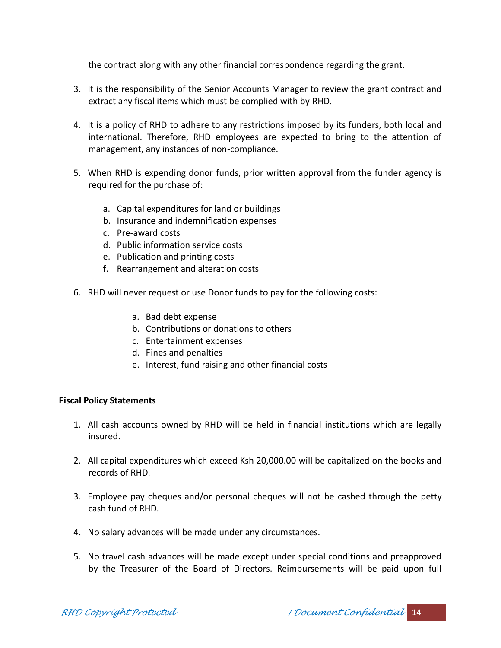the contract along with any other financial correspondence regarding the grant.

- 3. It is the responsibility of the Senior Accounts Manager to review the grant contract and extract any fiscal items which must be complied with by RHD.
- 4. It is a policy of RHD to adhere to any restrictions imposed by its funders, both local and international. Therefore, RHD employees are expected to bring to the attention of management, any instances of non-compliance.
- 5. When RHD is expending donor funds, prior written approval from the funder agency is required for the purchase of:
	- a. Capital expenditures for land or buildings
	- b. Insurance and indemnification expenses
	- c. Pre-award costs
	- d. Public information service costs
	- e. Publication and printing costs
	- f. Rearrangement and alteration costs
- 6. RHD will never request or use Donor funds to pay for the following costs:
	- a. Bad debt expense
	- b. Contributions or donations to others
	- c. Entertainment expenses
	- d. Fines and penalties
	- e. Interest, fund raising and other financial costs

#### **Fiscal Policy Statements**

- 1. All cash accounts owned by RHD will be held in financial institutions which are legally insured.
- 2. All capital expenditures which exceed Ksh 20,000.00 will be capitalized on the books and records of RHD.
- 3. Employee pay cheques and/or personal cheques will not be cashed through the petty cash fund of RHD.
- 4. No salary advances will be made under any circumstances.
- 5. No travel cash advances will be made except under special conditions and preapproved by the Treasurer of the Board of Directors. Reimbursements will be paid upon full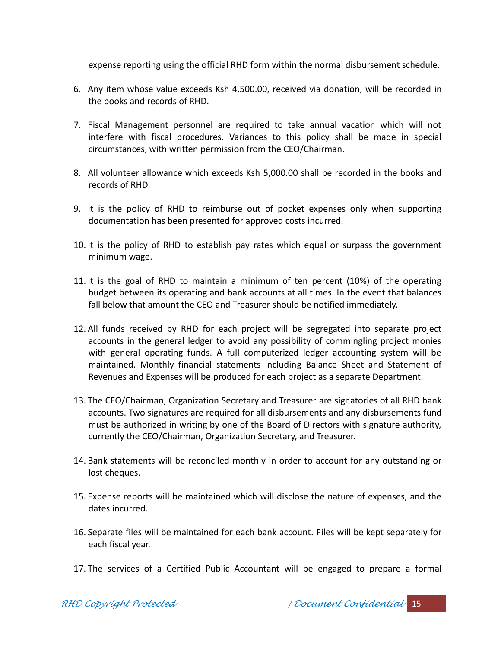expense reporting using the official RHD form within the normal disbursement schedule.

- 6. Any item whose value exceeds Ksh 4,500.00, received via donation, will be recorded in the books and records of RHD.
- 7. Fiscal Management personnel are required to take annual vacation which will not interfere with fiscal procedures. Variances to this policy shall be made in special circumstances, with written permission from the CEO/Chairman.
- 8. All volunteer allowance which exceeds Ksh 5,000.00 shall be recorded in the books and records of RHD.
- 9. It is the policy of RHD to reimburse out of pocket expenses only when supporting documentation has been presented for approved costs incurred.
- 10. It is the policy of RHD to establish pay rates which equal or surpass the government minimum wage.
- 11. It is the goal of RHD to maintain a minimum of ten percent (10%) of the operating budget between its operating and bank accounts at all times. In the event that balances fall below that amount the CEO and Treasurer should be notified immediately.
- 12. All funds received by RHD for each project will be segregated into separate project accounts in the general ledger to avoid any possibility of commingling project monies with general operating funds. A full computerized ledger accounting system will be maintained. Monthly financial statements including Balance Sheet and Statement of Revenues and Expenses will be produced for each project as a separate Department.
- 13. The CEO/Chairman, Organization Secretary and Treasurer are signatories of all RHD bank accounts. Two signatures are required for all disbursements and any disbursements fund must be authorized in writing by one of the Board of Directors with signature authority, currently the CEO/Chairman, Organization Secretary, and Treasurer.
- 14. Bank statements will be reconciled monthly in order to account for any outstanding or lost cheques.
- 15. Expense reports will be maintained which will disclose the nature of expenses, and the dates incurred.
- 16. Separate files will be maintained for each bank account. Files will be kept separately for each fiscal year.
- 17. The services of a Certified Public Accountant will be engaged to prepare a formal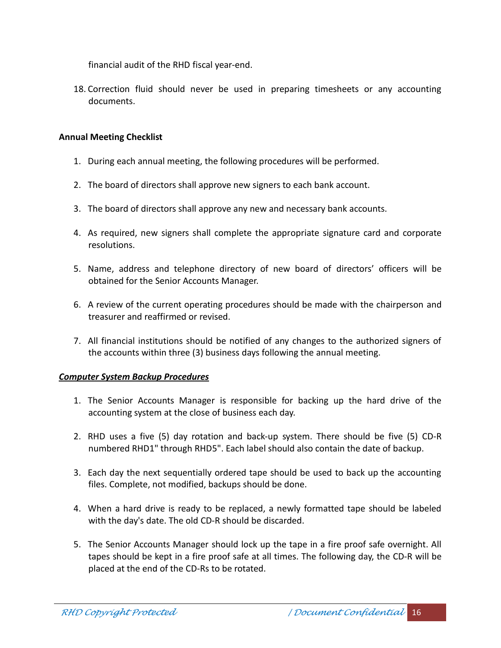financial audit of the RHD fiscal year-end.

18. Correction fluid should never be used in preparing timesheets or any accounting documents.

#### **Annual Meeting Checklist**

- 1. During each annual meeting, the following procedures will be performed.
- 2. The board of directors shall approve new signers to each bank account.
- 3. The board of directors shall approve any new and necessary bank accounts.
- 4. As required, new signers shall complete the appropriate signature card and corporate resolutions.
- 5. Name, address and telephone directory of new board of directors' officers will be obtained for the Senior Accounts Manager.
- 6. A review of the current operating procedures should be made with the chairperson and treasurer and reaffirmed or revised.
- 7. All financial institutions should be notified of any changes to the authorized signers of the accounts within three (3) business days following the annual meeting.

#### *Computer System Backup Procedures*

- 1. The Senior Accounts Manager is responsible for backing up the hard drive of the accounting system at the close of business each day.
- 2. RHD uses a five (5) day rotation and back-up system. There should be five (5) CD-R numbered RHD1" through RHD5". Each label should also contain the date of backup.
- 3. Each day the next sequentially ordered tape should be used to back up the accounting files. Complete, not modified, backups should be done.
- 4. When a hard drive is ready to be replaced, a newly formatted tape should be labeled with the day's date. The old CD-R should be discarded.
- 5. The Senior Accounts Manager should lock up the tape in a fire proof safe overnight. All tapes should be kept in a fire proof safe at all times. The following day, the CD-R will be placed at the end of the CD-Rs to be rotated.